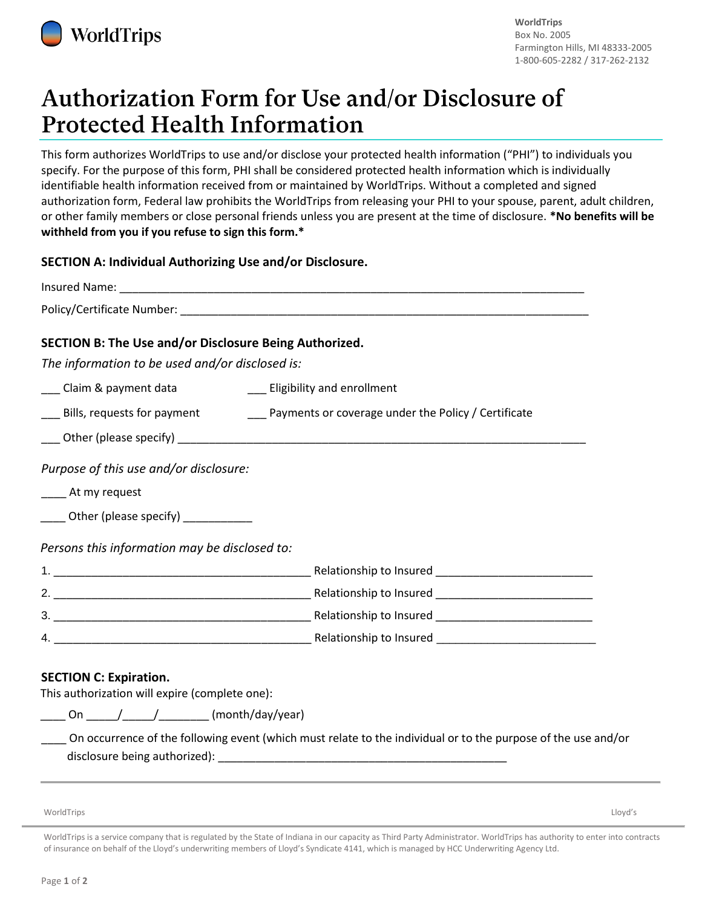

# Authorization Form for Use and/or Disclosure of **Protected Health Information**

This form authorizes WorldTrips to use and/or disclose your protected health information ("PHI") to individuals you specify. For the purpose of this form, PHI shall be considered protected health information which is individually identifiable health information received from or maintained by WorldTrips. Without a completed and signed authorization form, Federal law prohibits the WorldTrips from releasing your PHI to your spouse, parent, adult children, or other family members or close personal friends unless you are present at the time of disclosure. **\*No benefits will be withheld from you if you refuse to sign this form.\***

## **SECTION A: Individual Authorizing Use and/or Disclosure.**

| SECTION B: The Use and/or Disclosure Being Authorized.<br>The information to be used and/or disclosed is:     |                               |
|---------------------------------------------------------------------------------------------------------------|-------------------------------|
| ___ Claim & payment data                                                                                      | __ Eligibility and enrollment |
|                                                                                                               |                               |
|                                                                                                               |                               |
| Purpose of this use and/or disclosure:<br>_____ At my request<br>_____ Other (please specify) ____________    |                               |
| Persons this information may be disclosed to:                                                                 |                               |
|                                                                                                               |                               |
|                                                                                                               |                               |
|                                                                                                               |                               |
|                                                                                                               |                               |
| <b>SECTION C: Expiration.</b><br>This authorization will expire (complete one):                               |                               |
| _____ On _____/_____/_________ (month/day/year)                                                               |                               |
| On occurrence of the following event (which must relate to the individual or to the purpose of the use and/or |                               |

disclosure being authorized):

WorldTrips Lloyd's

WorldTrips is a service company that is regulated by the State of Indiana in our capacity as Third Party Administrator. WorldTrips has authority to enter into contracts of insurance on behalf of the Lloyd's underwriting members of Lloyd's Syndicate 4141, which is managed by HCC Underwriting Agency Ltd.